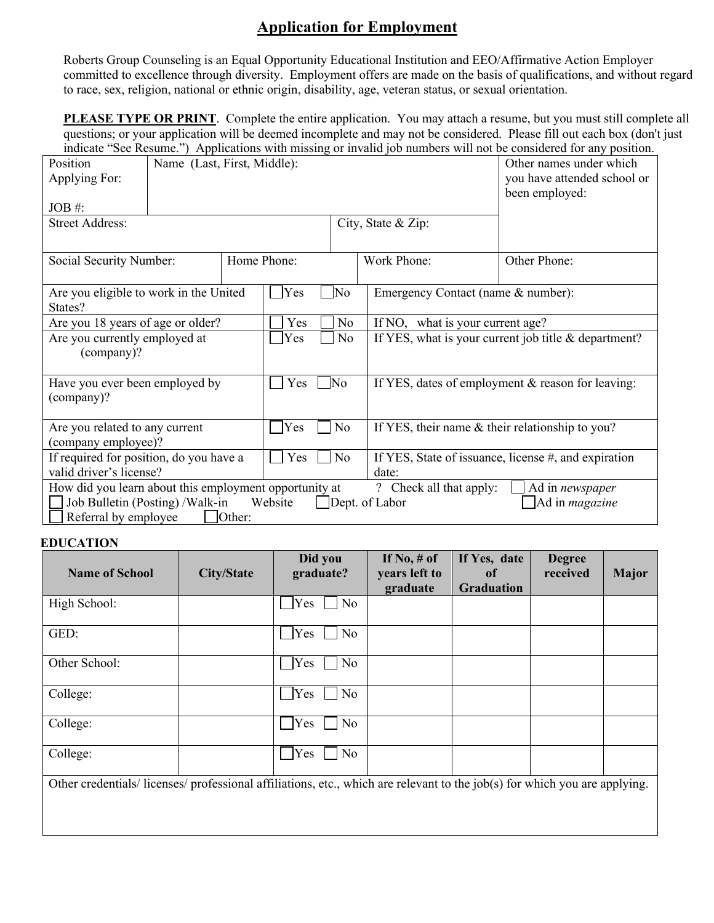## **Application for Employment**

Roberts Group Counseling is an Equal Opportunity Educational Institution and EEO/Affirmative Action Employer committed to excellence through diversity. Employment offers are made on the basis of qualifications, and without regard to race, sex, religion, national or ethnic origin, disability, age, veteran status, or sexual orientation.

**PLEASE TYPE OR PRINT**. Complete the entire application. You may attach a resume, but you must still complete all questions; or your application will be deemed incomplete and may not be considered. Please fill out each box (don't just indicate "See Resume.") Applications with missing or invalid job numbers will not be considered for any position.

| Position<br>Applying For:<br>$JOB \#$ :<br><b>Street Address:</b>                                                                                                                                                                | Name (Last, First, Middle): | marcace See Resulte. The privations with imssing of invand for numbers will not be considered for any position.<br>Other names under which<br>you have attended school or<br>been employed: |                       |    |                                                        |                                                   |  |  |
|----------------------------------------------------------------------------------------------------------------------------------------------------------------------------------------------------------------------------------|-----------------------------|---------------------------------------------------------------------------------------------------------------------------------------------------------------------------------------------|-----------------------|----|--------------------------------------------------------|---------------------------------------------------|--|--|
| Social Security Number:                                                                                                                                                                                                          |                             | Home Phone:                                                                                                                                                                                 |                       |    | Work Phone:                                            | Other Phone:                                      |  |  |
| Are you eligible to work in the United<br>States?                                                                                                                                                                                |                             |                                                                                                                                                                                             | <b>Yes</b>            | No | Emergency Contact (name & number):                     |                                                   |  |  |
| Are you 18 years of age or older?                                                                                                                                                                                                |                             |                                                                                                                                                                                             | Yes                   | No |                                                        | If NO, what is your current age?                  |  |  |
| Are you currently employed at<br>(company)?                                                                                                                                                                                      |                             |                                                                                                                                                                                             | Yes                   | No | If YES, what is your current job title $&$ department? |                                                   |  |  |
| Have you ever been employed by<br>(company)?                                                                                                                                                                                     |                             |                                                                                                                                                                                             | No.<br>Yes            |    |                                                        | If YES, dates of employment & reason for leaving: |  |  |
| Are you related to any current<br>(company employee)?                                                                                                                                                                            |                             |                                                                                                                                                                                             | Yes<br>N <sub>o</sub> |    |                                                        | If YES, their name & their relationship to you?   |  |  |
| If required for position, do you have a                                                                                                                                                                                          |                             |                                                                                                                                                                                             | Yes<br>N <sub>o</sub> |    | If YES, State of issuance, license #, and expiration   |                                                   |  |  |
| valid driver's license?                                                                                                                                                                                                          |                             |                                                                                                                                                                                             |                       |    | date:                                                  |                                                   |  |  |
| How did you learn about this employment opportunity at<br>? Check all that apply:<br>Ad in newspaper<br>Job Bulletin (Posting) / Walk-in<br>Ad in <i>magazine</i><br>Website<br>Dept. of Labor<br>Referral by employee<br>Other: |                             |                                                                                                                                                                                             |                       |    |                                                        |                                                   |  |  |

## **EDUCATION**

| <b>Name of School</b>                                                                                                    | <b>City/State</b> | Did you<br>graduate? | If No, $#$ of<br>years left to | If Yes, date<br><sub>of</sub> | <b>Degree</b><br>received | <b>Major</b> |
|--------------------------------------------------------------------------------------------------------------------------|-------------------|----------------------|--------------------------------|-------------------------------|---------------------------|--------------|
|                                                                                                                          |                   |                      | graduate                       | <b>Graduation</b>             |                           |              |
| High School:                                                                                                             |                   | No<br>Yes            |                                |                               |                           |              |
| GED:                                                                                                                     |                   | No<br>Yes            |                                |                               |                           |              |
| Other School:                                                                                                            |                   | No<br>Yes            |                                |                               |                           |              |
| College:                                                                                                                 |                   | No<br>Yes            |                                |                               |                           |              |
| College:                                                                                                                 |                   | No<br>Yes            |                                |                               |                           |              |
| College:                                                                                                                 |                   | Yes<br>No            |                                |                               |                           |              |
| Other credentials/licenses/professional affiliations, etc., which are relevant to the job(s) for which you are applying. |                   |                      |                                |                               |                           |              |
|                                                                                                                          |                   |                      |                                |                               |                           |              |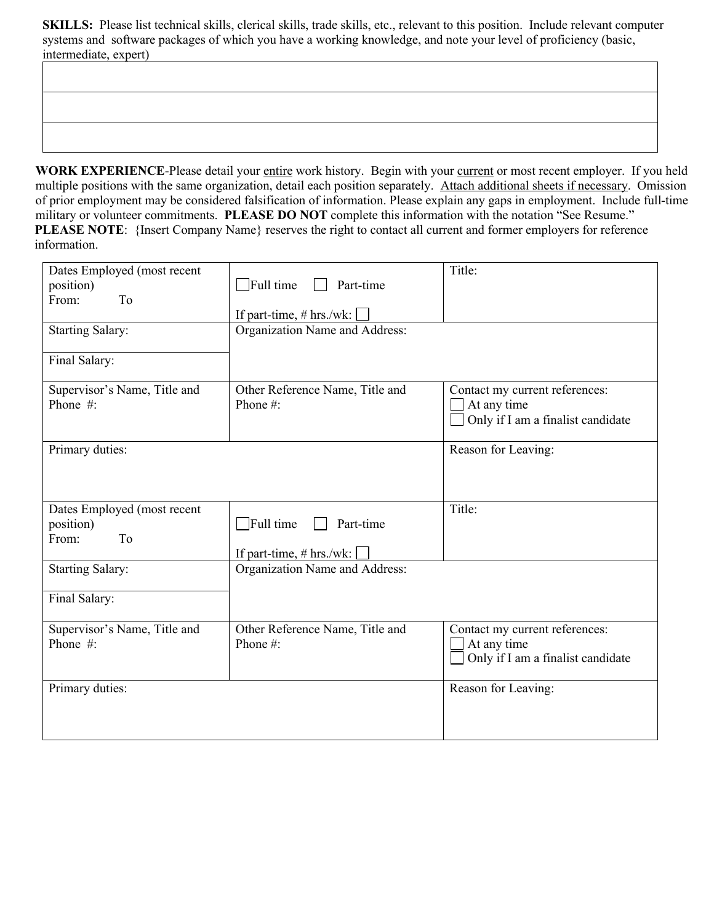**SKILLS:** Please list technical skills, clerical skills, trade skills, etc., relevant to this position. Include relevant computer systems and software packages of which you have a working knowledge, and note your level of proficiency (basic, intermediate, expert)

WORK EXPERIENCE-Please detail your entire work history. Begin with your current or most recent employer. If you held multiple positions with the same organization, detail each position separately. Attach additional sheets if necessary. Omission of prior employment may be considered falsification of information. Please explain any gaps in employment. Include full-time military or volunteer commitments. **PLEASE DO NOT** complete this information with the notation "See Resume." **PLEASE NOTE:** {Insert Company Name} reserves the right to contact all current and former employers for reference information.

| Dates Employed (most recent                             |                                                             | Title:                                                                             |
|---------------------------------------------------------|-------------------------------------------------------------|------------------------------------------------------------------------------------|
| position)                                               | $\Box$ Full time<br>Part-time                               |                                                                                    |
| From:<br>To                                             | If part-time, # hrs./wk: [                                  |                                                                                    |
| <b>Starting Salary:</b>                                 | Organization Name and Address:                              |                                                                                    |
| Final Salary:                                           |                                                             |                                                                                    |
| Supervisor's Name, Title and<br>Phone #:                | Other Reference Name, Title and<br>Phone#:                  | Contact my current references:<br>At any time<br>Only if I am a finalist candidate |
| Primary duties:                                         |                                                             | Reason for Leaving:                                                                |
| Dates Employed (most recent<br>position)<br>To<br>From: | $\Box$ Full time<br>Part-time<br>If part-time, $# hrs./wk:$ | Title:                                                                             |
| <b>Starting Salary:</b>                                 | Organization Name and Address:                              |                                                                                    |
| Final Salary:                                           |                                                             |                                                                                    |
| Supervisor's Name, Title and<br>Phone #:                | Other Reference Name, Title and<br>Phone #:                 | Contact my current references:<br>At any time<br>Only if I am a finalist candidate |
| Primary duties:                                         |                                                             | Reason for Leaving:                                                                |